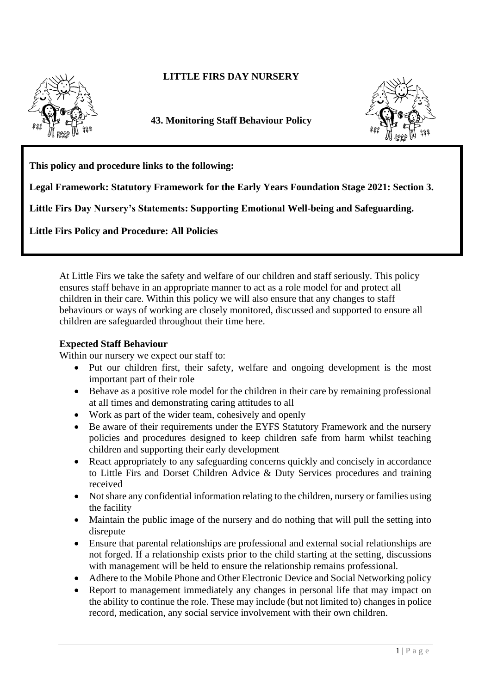

# **LITTLE FIRS DAY NURSERY**

**43. Monitoring Staff Behaviour Policy** 



**This policy and procedure links to the following:** 

**Legal Framework: Statutory Framework for the Early Years Foundation Stage 2021: Section 3.**

**Little Firs Day Nursery's Statements: Supporting Emotional Well-being and Safeguarding.**

**Little Firs Policy and Procedure: All Policies**

At Little Firs we take the safety and welfare of our children and staff seriously. This policy ensures staff behave in an appropriate manner to act as a role model for and protect all children in their care. Within this policy we will also ensure that any changes to staff behaviours or ways of working are closely monitored, discussed and supported to ensure all children are safeguarded throughout their time here.

## **Expected Staff Behaviour**

Within our nursery we expect our staff to:

- Put our children first, their safety, welfare and ongoing development is the most important part of their role
- Behave as a positive role model for the children in their care by remaining professional at all times and demonstrating caring attitudes to all
- Work as part of the wider team, cohesively and openly
- Be aware of their requirements under the EYFS Statutory Framework and the nursery policies and procedures designed to keep children safe from harm whilst teaching children and supporting their early development
- React appropriately to any safeguarding concerns quickly and concisely in accordance to Little Firs and Dorset Children Advice & Duty Services procedures and training received
- Not share any confidential information relating to the children, nursery or families using the facility
- Maintain the public image of the nursery and do nothing that will pull the setting into disrepute
- Ensure that parental relationships are professional and external social relationships are not forged. If a relationship exists prior to the child starting at the setting, discussions with management will be held to ensure the relationship remains professional.
- Adhere to the Mobile Phone and Other Electronic Device and Social Networking policy
- Report to management immediately any changes in personal life that may impact on the ability to continue the role. These may include (but not limited to) changes in police record, medication, any social service involvement with their own children.